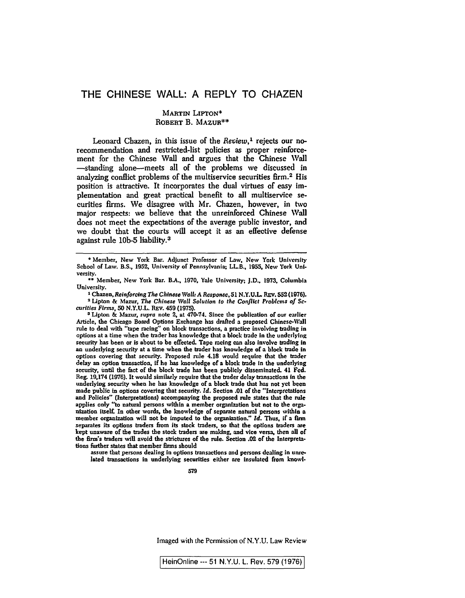# **THE CHINESE WALL: A REPLY TO CHAZEN**

# **MARTIN ~ ROBERT B. MAzuR\*\***

**Leonard Chazen, in this issue of the Review,1 rejects our norecommendation and restricted-list policies as proper reinforce ment for the Chinese Wall and argues that the Chinese Wall standing alonemeets all of the problems we discussed in analyzing conflict problems of the multiservice securities firm.2 His position is attractive. It incorporates the dual virtues of easy im plementation and great practical benefit to all multiservice se curities firms. We disagree with Mr. Chazen, however, in t~vo major respects:** we believe that the unreinforced Chinese Wall **does not meet the expectations of the average public investor, and ~ve doubt that the courts will accept it as an effective defense against rule lOb-S liability.3**

**<sup>~</sup> Lipton & Mazur, supra note 2, at 470-74. Since the publication of our earlier Article, the Chicago Board Options Exchange has drafted a proposed Chinese-Wall rule to deal with tape racing on block transactions, a practice involving trading in options at <sup>a</sup> time when the trader has knowledge that <sup>a</sup> block trade in the underlying security has been or is about to be effected. Tape racing eon also involve trading in an underlying security at a time when the trader has knowledge of a block trade In options covering that security. Proposed rule 4.18 would require that the trader delay an option transaction, if he has knowledge of a block trade in the underlying security, until the fact of the block trade has been publicly disseminated. 41 Fed. Beg. 19,174 (1976). It would similarly require that the trader delay transactions in the underlying security when he has knowledge of a block trade that has not yet been made public in options covering that security. Id. Section .01 or the Interpretations and Policies (Interpretations) accompanying the proposed rule states that the rule applies only to natural persons within <sup>a</sup> member organization but not to the orga nization liselL In other words, the kno~vledge of separate natural persons within a member organization will not be imputed to the organization. Id. Thus, if <sup>a</sup> finn separates its options traders from its stock traders, so that the options traders are kept unaware of the trades the stock traders are making, and vice versa, then all of the firms traders will avoid the strictures of the rule. Section .02 of the Interpreta tions further states that member firms should**

**assure that persons dealing In options transactions and persons dealing in unre lated transactions in underlying securities either ore Insulated from knowi**

**579**

**Imaged with the Permission of N.Y.U. Law Review**

**HemOnline ---51 N.Y.U. L. Rev. 579 (1976**

**<sup>\*</sup> Member, New York Bar. Adjunct Professor of Law, New York University School of Law. B.S., 1952, University of Pennsylvania; LLB., 1955, New York Uni versity.**

**Member, New York Bar. B.A., 1970, Yale University; J.D.. 1973. Columbia University.**

**<sup>1</sup>Chazen, Reinforcing The Chinese ~Voll: A Rcsponsc,51 N.Y.U.L REv. 552(1976). <sup>2</sup> lipton & Mazur, The Chinese Wall Solution to the Conflict Problems of Se curities Firms, 50 N.Y.U.L. REv. 459(1975).**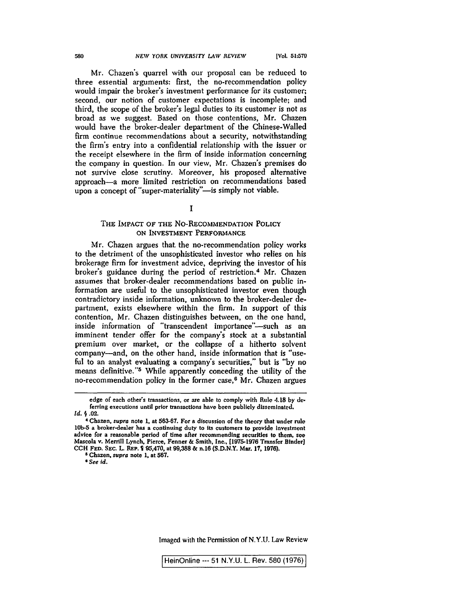**Mr. Chazens quarrel with our proposal can be reduced to three essential arguments: first, the no-recommendation policy would impair the brokers investment performance for its customer; second, our notion of customer expectations is incomplete; and third, the scope of the brokers legal duties to its customer is not as broad as we suggest. Based on those contentions, Mr. Chazen ~vould have the broker-dealer department of the Chinese-Walled firm continue recommendations about a security, notwithstanding the firms entry into <sup>a</sup> confidential relationship with the issuer or the receipt elsewhere in the firm of inside information concerning**  $t$ he company in question. In our view, Mr. Chazen's premises do **not survive close scrutiny. Moreover, his proposed alternative approacha more limited restriction on recommendations based upon <sup>a</sup> concept of super-materialityis simply not viable.**

**I**

## **THE IMPAcT OF THE NO-RECOMMENDATION POLICY ON INVESTMENT PERFORMANCE**

**Mr. Chazen argues that. the no-recommendation policy works to the detriment of the unsophisticated investor who relies on his brokerage firm for investment advice, depriving the investor of his brokers guidance during the period of restriction. Mr. Chazen assumes that broker-dealer recommendations based on public in formation are useful to the unsophisticated investor even though contradictory inside information, unknown to the broker-dealer de partment, exists elsewhere within the firm. In support of this contention, Mr. Chazen distinguishes between, on the one hand,** inside information of "transcendent importance"-such as an **imminent tender offer for the companys stock at <sup>a</sup> substantial premium over market, or the collapse of a hitherto solvent companyand, on the other hand, inside information that is use ful to an analyst evaluating a companys securities, but is by no means definitive.5 While apparently conceding the utility of the no-recommendation policy in the former case,6 Mr. Chazen argues**

**edge of each others transactions, or are able to comply with Rule 1.18 by de. ferring executions until prior transactions have been publicly disseminated. Id. ~ .02.**

**<sup>~</sup> Chazen, supro note 1, at 563-67. For a discussion of the theory that under rub lOb-5 a broker-dealer has a continuing duty to its customers to provide investment advice for a reasonable period of time after recommending securities to them, sos Mascola v. Merrill Lynch, Pierce, Fenner & Smith, Inc., 1973-1976 Transfer Binder) CCH FED. SEC. L REP. ¶ 95,470, at 99,388 & n.16 (S.D.N.Y. Mar. 17, 1976).**

**<sup>~</sup> Chazen, supra note 1, at 567.**

**See Id.**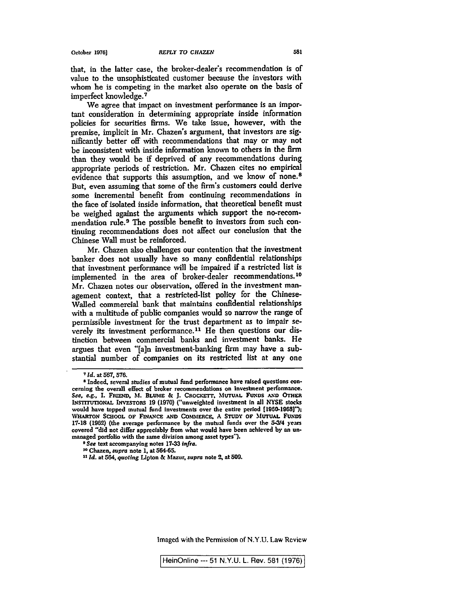**that, in the latter case, the broker-dealers recommendation is of value to the unsophisticated customer because the investors ~vith whom he is competing in the market also operate on the basis of imperfect knowledge.7 We agree that impact on investment performance is an impor**

**tant consideration in determining appropriate inside information**  $p$  policies for securities firms. We take issue, however, with the **premise, implicit in Mr. Chazens argument, that investors are sig nificantly better off with recommendations that may or may not be inconsistent ~vith inside information known to others in the firm than they would be if deprived of any recommendations during appropriate periods of restriction. Mr. Chazen cites no empirical evidence that supports this assumption, and we know of none.8 But, even assuming that some of the firms customers could derive some incremental benefit from continuing recommendations in the face of isolated inside information, that theoretical benefit must be weighed against the arguments which support the no-recom mendation rule.9 The possible benefit to investors from such con tinuing recommendations does not affect our conclusion that the Chinese Wall must be reinforced.**

**Mr. Chazen also challenges our contention that the investment banker does not usually have so many confidential relationships that investment performance will be impaired if <sup>a</sup> restricted list is implemented in the area of broker-dealer recommendations. <sup>10</sup> Mr. Chazen notes our observation, offered in the investment man agement context, that <sup>a</sup> restricted-list policy for the Chinese-Walled commercial bank that maintains confidential relationships ~vith a multitude of public companies would so narrow the range of permissible investment for the trust department as to impair se verely its investment performance.11 He then questions our dis tinction between commercial banks and investment banks. He argues that even a]n investment-banking firm may bave <sup>a</sup> sub stantial number of companies on its restricted list at any one**

**<sup>~</sup>Id. at 567, 576.**

**<sup>S</sup> Indeed, several studies of mutual fund performance have raised questions con cerning the overall effect oF broker recommendations on Investment performance.** See, e.g., I. Friend, M. Blume & J. Crockert, Mutual Funds and Other **b~sTxnmo1~x. INVEsTORs <sup>19</sup> (1970) (unweighted investment in all NYSE stocks would have topped mutual fund investments over the entire period 1960-196811; ~VHAETON SCHOOL OF FINANCE AND CO~.utEncE, A STUDY OF MUTUAL FUNDs 17-18 (1952) (the average performance by the mutual funds over the 5-314 years covered did not differ appreciably from what would have been achieved by an un managed portfolio with the same division among asset types).**

**See text accompanying notes 17-33 infra.**

**tm0Cbazen, supro note 1, at 564-65.**

**hid, at 564, quoting Lipton & Mazur, supra note 2, at 509.**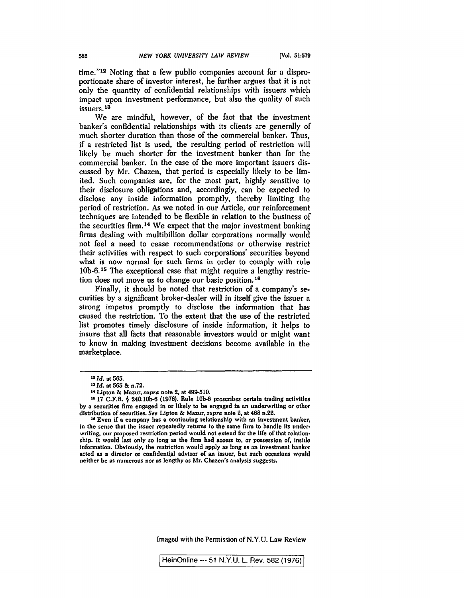**time.12 Noting that <sup>a</sup> few public companies account for <sup>a</sup> dispro portionate share of investor interest, he further argues that it is not only the quantity of confidential relationships ~vith issuers which impact upon investment performance, but also the quality of such issuers.3**

**We are mindful, however, of the fact that the investment bankers confidential relationships with its clients are generally of much shorter duration than those of the commercial banker. Thus, if a restricted list is used, the resulting period of restriction ~vill likely be much shorter for the investment banker than for the commercial banker. In the case of the more important issuers dis cussed by Mr. Chazen, that period is especially likely to be lim ited. Such companies are, for the most part, highly sensitive to their disclosure obligations and, accordingly, can be expected to disclose any inside information promptly, thereby limiting the period of restriction. As we noted in our Article, our reinforcement techniques are intended to be flexible in relation to the business of the securities firm.14 We expect that the major investment banking firms dealing with multibillion dollar corporations normally would not feel a need to cease recommendations or otherwise restrict their activities with respect to such corporations securities beyond what is now normal for such firms in order to comply with rule** 10b-6.<sup>15</sup> The exceptional case that might require a lengthy restric**tion does not move us to change our basic position. ~**

**Finally, it should be noted that restriction of <sup>a</sup> company <sup>s</sup> se curities by a significant broker-dealer will in itself give the issuer a strong impetus promptly to disclose the information that has caused the restriction. To the extent that the use of the restricted list promotes timely disclosure of inside information, it helps to insure that all facts that reasonable investors would or might want to know in making investment decisions become available in the marketplace.**

**<sup>21</sup>d, at 565.**

**<sup>11</sup>d at 565 & n.72.**

**U Lipton & Mazur, supra note 2, at 499-510.**

**<sup>15</sup> 17 C.F.R. § 240.lOb-6 (1976). Rule lOb-6 proscribes certain trading activitios by <sup>a</sup> securities firm engaged in or likely to be engaged in an underwriting or other distribution of securities. See Lipton & Mazur, aupra note 2, at <sup>468</sup> n.22.**

**<sup>16</sup> Even if <sup>a</sup> company has <sup>a</sup> continuing relationship with an investment banker, in the sense that the issuer repeatedly returns to the same firm to handle its under writing, our proposed restriction period would not extend for the life of that relation ship. It would last only so long as the firm had access to, or possession of, insido information. Obviously, the restriction would apply as long as an investment banker acted as a director or confidential advisor of an issuer, but such occasions would**  $n$  **neither** be as numerous nor as lengthy as Mr. Chazen's analysis suggests.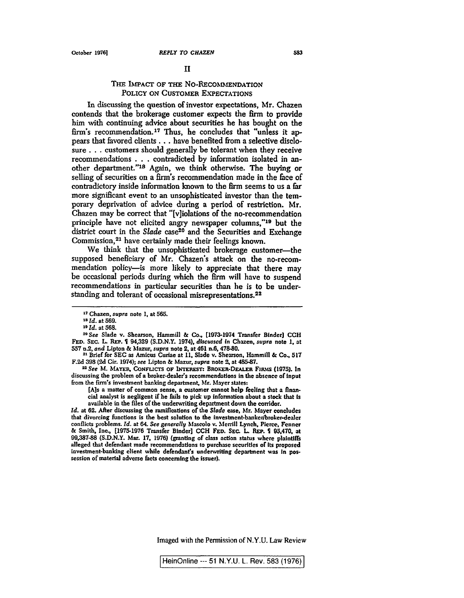### **II**

# **THE IMPACr OF THE NO-RECOMMENDATION POLICY ON CUSTOMER EXPECrATIONS**

**In discussing the question of investor expectations, Mr. Chazen contends that the brokerage customer expects the firm to provide him with continuing advice about securities be has bought on the firms recommendation.17 Thus, he concludes that unless it ap**  $p$  pears that favored clients . . . have benefited from a selective disclo**sure. . . customers should generally be tolerant ~vhen they receive recommendations . . . contradicted by information isolated in an other department.18 Again, ~ve think otherwise. The buying or selling of securities on a firms recommendation made in the face of**  $i$  **contradictory** inside information known to the firm seems to us a far **more significant event to an unsophisticated investor than the tem porary deprivation of advice during a period of restriction. Mr. Chazen may be correct that v]iolations of the no-recommendation principle have not elicited angry newspaper columns,19 but the district court in the SIade case~ and the Securities and Exchange Commission,21 have certainly made their feelings k-nown.**

We think that the unsophisticated brokerage customer-the supposed beneficiary of Mr. Chazen's attack on the no-recom**mendation policyis more likely to appreciate that there may be occasional periods during which the firm will have to suspend recommendations in particular securities than he is to be under standing and tolerant of occasional misrepresentations.22**

**See M. MAYER, CONFLICTS OF INrEnasT: BROKER.DEAI.ER Fnuts (1975). In discussing the problem of a broker-dealers recommendations in the absence of Input from the firms investment banking department, Mr. Mayer states:**

**Id. at 62. After discussing the ramifications of the Slado case, Mr. Mayer concludes that divorcing functions is the best solution to the Invesbnent.bankerlbrokcr-dealer conflicts problems. Id. at 64. See generolltj Maseolo v. Merrill Lynch. Pierce, Fenner & Smith, Inc., 1975-1976 Transfer Binder] CCH FED. SEC. L REP. <sup>1</sup> 95.470, at 99,387-88 (S.D.N.Y. Mar. 17, 1976) (panting of class action status where plalntifI~ alleged that defendant made recommendations to purchase securities or its proposed investment-banking client while defendants underwriting department was In pos session of material adverse facts concerning the issuer).**

**<sup>17</sup> Chazen, supra note 1, at 565.**

**laid, at 569.**

**laid at 568.**

**<sup>~</sup> See Slade v. Shearson, Hammill & Co., 1973-1974 Transfer Binder] CCH Fw. SEC. L REP. <sup>1</sup> 94,329 (S.D.N.Y. 1974), dtscusscd in Chazen, SUPTG note 1, at <sup>557</sup> n.2, and Lipton & Mazur, supra note 2, at <sup>461</sup> n.6, 478.80.**

**<sup>21</sup> BrIef for SEC as Amicus Curiae at 11, Slade v. Shearson, Hammill & Co., 517 F.2d <sup>398</sup> (2d Cir. 1974); see Lipton & Mazur, supra note 2, at 485.87.**

**Als a matter of common sense, <sup>a</sup> customer cannot help feeling that a finan cial analyst is negligent if he fails to pick up Information about a stock that Is available in the ifies of the underwriting department down the eorrldor.**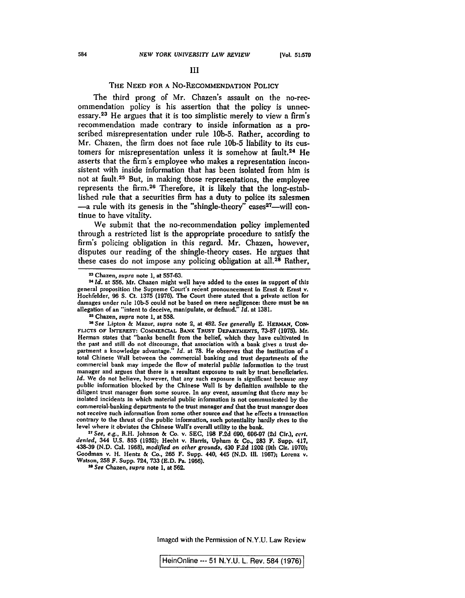# **III**

### **THE NEED FOR A NO-RECOMMENDATION POLICY**

**The third prong** of Mr. Chazen's assault on the no-rec**ommendation policy is his assertion that the policy is unnec essary.23 He argues that it is too simplistic merely to view <sup>a</sup> firms recommendation made contrary to inside information as <sup>a</sup> pro scribed misrepresentation under rule lOb-5. Rather, according to Mr. Chazen, the firm does not face rule lOb-5 liability to its cus tomers for misrepresentation unless it is somehow at fault.24 He asserts that the firms employee who makes <sup>a</sup> representation incon sistent vith inside information that has been isolated from him is not at fault.25 But, in making those representations, the employee represents the firm.26 Therefore, it is likely that the long-estab lished rule that a securities firm has a duty to police its salesmen**  $-$ a rule with its genesis in the "shingle-theory" cases<sup>27</sup>—will con**tinue to have vitality.**

**We submit that the no-recommendation policy implemented through a restricted list is the appropriate procedure to satisfy the firms policing obligation in this regard. Mr. Chazen, however, disputes our reading of the shingle-theory cases. He argues that these cases do not impose any policing obligation at all.28 Rather,**

**<sup>~</sup> Chazen, supra note 1, at 557-63.**

**<sup>~4</sup> Id. at 556. Mr. Chazen might well have added to the cases in support of this general proposition the Supreme Courts recent pronouncement In Ernst & Ernst v. Hochfelder, 96 5. Ct. 1375 (1976). The Court there stated that a privato action for damages under rule lob-S could not be based on mere negligence: there must be an allegation of an intent to deceive, manipulate, or defraud. Id. at 1381.**

**<sup>~</sup> Chazen, supra note 1, at 558.**

**<sup>~</sup> See Lipton & Mazur, supra note 2, at 482. See generali~ E. HERMAN, CoN FUCT5 OF IN-rEREs~r: COMMERCIAL BANK TRUST DEPARTMENTS. 73-87 (1075). Mr. Herman states that banks benefit from the belief, which they have cultIvated in the past and still do not discourage, that association with <sup>a</sup> bank gives <sup>a</sup> trust de partment <sup>a</sup> knowledge advantage. Id. at 78. He observes that the institution of <sup>a</sup> total Chinese Wall between the commercial banking and trust departments of the commercial bank may impede the flow of material public information to the trust manager and argues that there is <sup>a</sup> resultant exposure to suit by trust.benellciarles. Id. We do not believe, however, that any such exposure is significant because any public information blocked by the Chinese Wall is by definition available to the diligent trust manager from some source. In any event, assuming that there may be isolated incidents In which material public information is not communicated by the commercial-banking departments to the trust manager and that the trust manager doos not receive such information from some other source and that he effects a transaction contrary to the thrust of the public information, such potentiality hardly rIses to the level where it obviates the Chinese Walls overall utility to the bank.**

**<sup>27</sup> See, e.g.. R.H. Johnson & Co. v. SEC. <sup>198</sup> F.2d 690, 696.97 (2d Cir.), ccrt. denied, 344 U.S. 855 (1952); Hecht v. Harris, Upham & Co., 283 F. Supp. 417, 438-39 (N.D. Cal. 1968), modified on other grounds, 430 F.2d 1202 (9th CIr. 1970); Coodman v. H. Hentz & Co., 265 F. Supp. 440. 445 (N.D. III. 1967); Lorens v. Watson, <sup>258</sup> F. Supp. 724, <sup>733</sup> (E.D. Pa. 1966). <sup>~</sup> See Chazen, supra note 1, at 562.**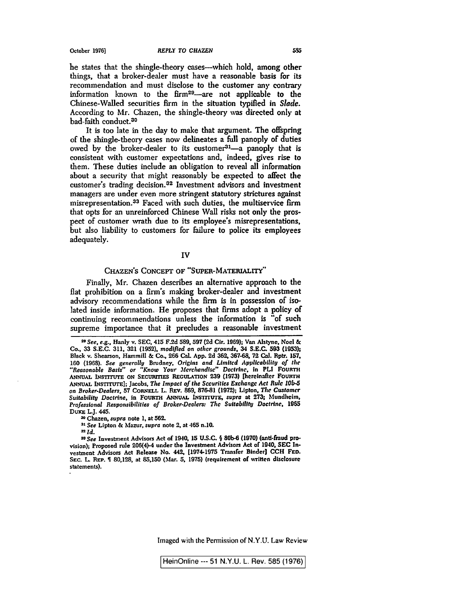**he states that the shingle-theory caseswhich hold, among other things, that a broker-dealer must have a reasonable basis for its recommendation and must disclose to the customer any contrary information** known to the firm<sup>29</sup>—are not applicable to the **Chinese-Walled securities firm in the situation typified in Slade. According to Mr. Chazen, the shingle-theory was directed only at bad-faith conduct.30**

It is too late in the day to make that argument. The offspring **of the shingle-theory cases now delineates a full panoply of duties owed** by the broker-dealer to its customer<sup>31</sup>—a panoply that is **consistent with customer expectations and, indeed, gives rise to them. These duties include an obligation to reveal all information about <sup>a</sup> security that might reasonably be expected to affect the customers trading decision.32 Investment advisors and investment managers are under even more stringent statutory strictures against misrepresentation.33 Faced with such duties, the multiservice firm that opts for an unreinforced Chinese Wall risks not only the pros pect** of customer wrath due to its employee's misrepresentations, **but also liability to customers for failure to police its employees adequately.**

### **Iv**

### **CHAZEN'S CONCEPT OF "SUPER-MATERIALITY"**

**Finally. Mr. Chazen describes an alternative approach to the flat prohibition on a firms making broker-dealer and investment advisory recommendations while the firm is in possession of iso lated inside information. He proposes that firms adopt <sup>a</sup> policy of continuing recommendations unless the information is of such supreme importance that it precludes <sup>a</sup> reasonable investment**

**~ Id.**

**~ See Investment Advisors Act of 1940, <sup>15</sup> US.C. <sup>1</sup> 801,4 (1970) (nntl.frnud pro vision); Proposed rule 206(4)-4 under the Investment Advisors Act at 1940, SEC In vesbnent Advisors Act Release No. 442, 1974-1975 Transfer Binderi CCH FED. SEc. U. REp. <sup>91</sup> 80,128, at 85,150 (Mar. 5, 1975) (requirement of writtcn disclosure statements).**

**<sup>28</sup>See, e.g., Hanly v. SEC. <sup>415</sup> F.2d 589, 597 (2d Cir. 1969); Van Aistyne, Noel & Co., 33 S.E.C. 311, 321 (1952), modified on otlicr grounds, 34 S.E.C. 593 (1953); Black v. Shearson, Hanimill & Co., <sup>266</sup> CaL App. 2d 362, 367-68, <sup>72</sup> Cal. Rptr. 157. 160 (1968). See generally Brudney, Origins and Limited ApplicabIlity of the Reasonable Basis or Know Your .~fcrcliandlsc Doctrine, In PU Fouwru ANNUAL INSTITUTE ON SECURITIES REGULATION 239 (1973) [hereinafter FOURTH ANNUAL I.NsTrrUTEI; Jacobs, The Impact of the Sccuritlcs Ercluzngc Act Ruic lOb-S on Broker-Dealers, 57 CORNELL L. REv. 869, 876.81 (1972); Lipton, The Customer**  $Suitability$  *Doctrine*, in FOURTH ANNUAL INSTITUTE, supra at 273; Mundheim, **Professional Responsibilities of Broker-Dealers: Thc Suitability Doctrine, 1965 DuXE U. 445.**

**<sup>~</sup> Chazen, supra note 1, at 562.**

**<sup>21</sup> See Lipton & Mazur, supra note 2, at <sup>465</sup> n.10.**